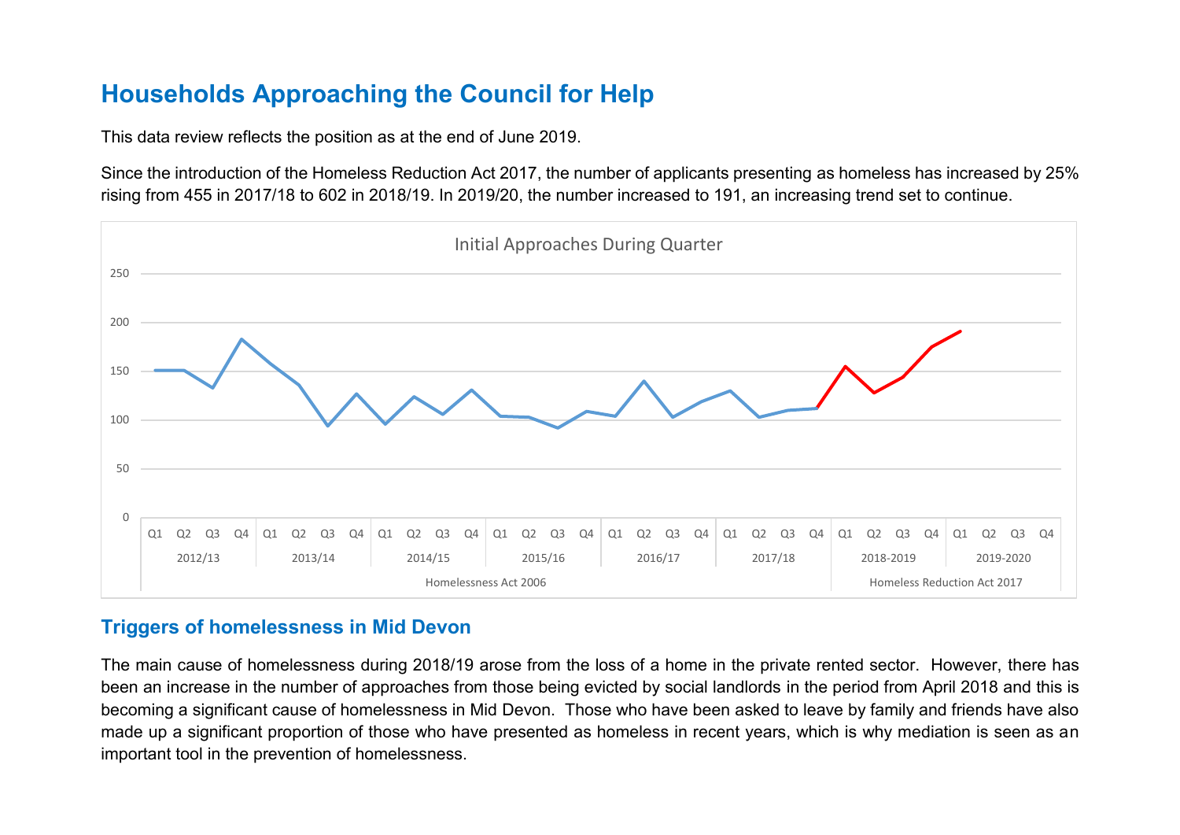# **Households Approaching the Council for Help**

This data review reflects the position as at the end of June 2019.

Since the introduction of the Homeless Reduction Act 2017, the number of applicants presenting as homeless has increased by 25% rising from 455 in 2017/18 to 602 in 2018/19. In 2019/20, the number increased to 191, an increasing trend set to continue.



## **Triggers of homelessness in Mid Devon**

The main cause of homelessness during 2018/19 arose from the loss of a home in the private rented sector. However, there has been an increase in the number of approaches from those being evicted by social landlords in the period from April 2018 and this is becoming a significant cause of homelessness in Mid Devon. Those who have been asked to leave by family and friends have also made up a significant proportion of those who have presented as homeless in recent years, which is why mediation is seen as an important tool in the prevention of homelessness.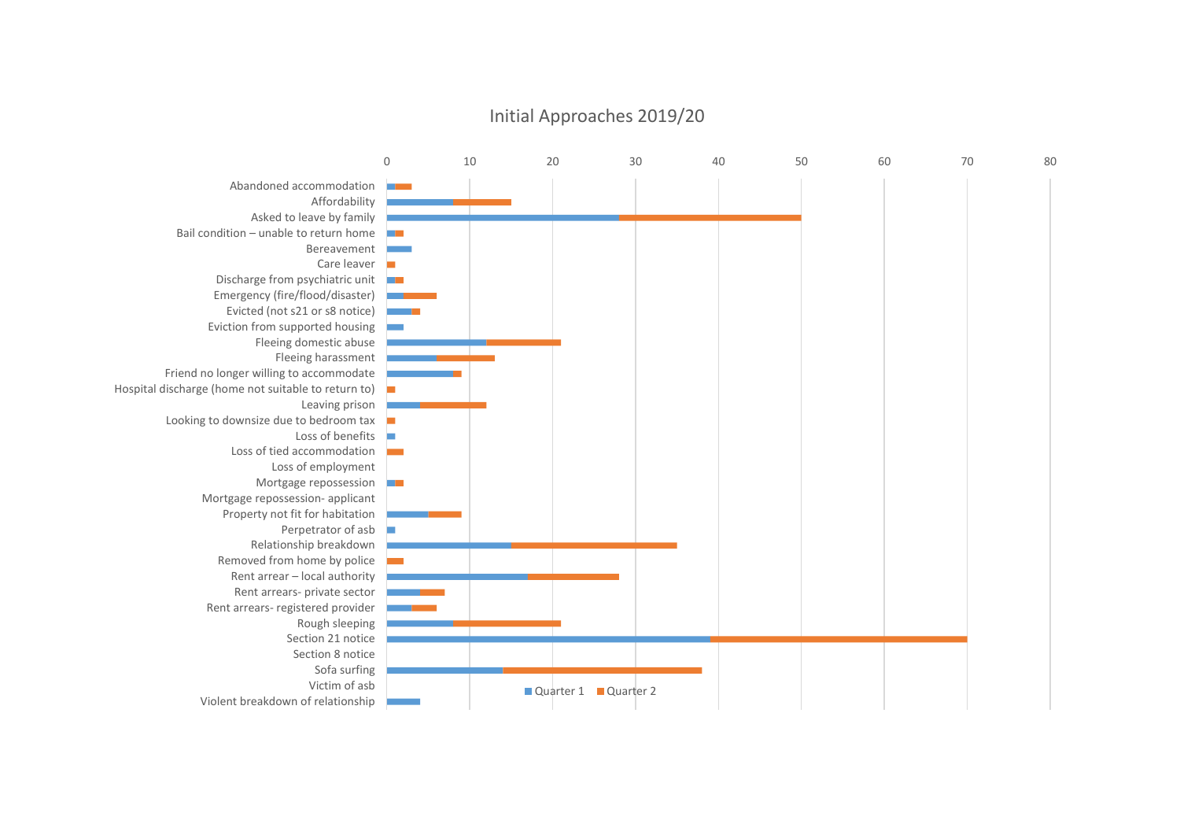

#### Initial Approaches 2019/20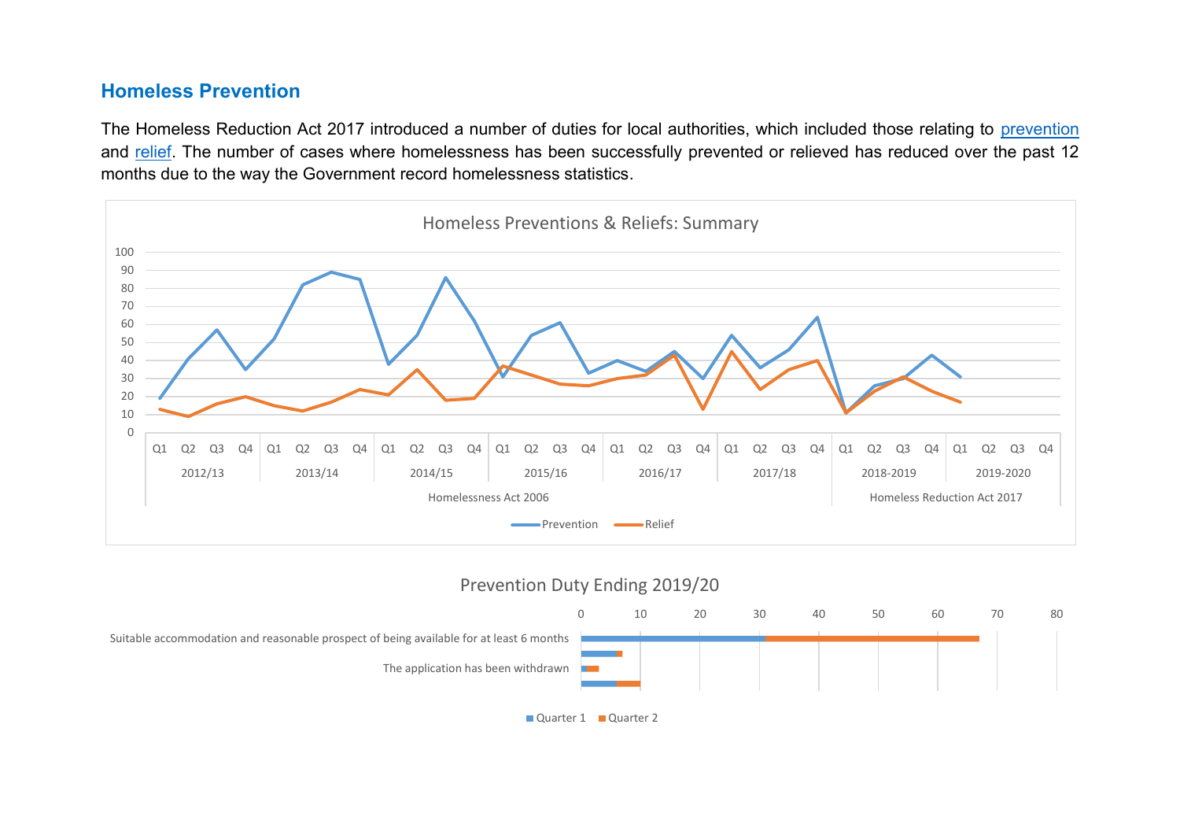### **Homeless Prevention**

The Homeless Reduction Act 2017 introduced a number of duties for local authorities, which included those relating to [prevention](https://www.gov.uk/guidance/homelessness-code-of-guidance-for-local-authorities/chapter-12-duty-in-cases-of-threatened-homelessness-the-prevention-duty) and [relief.](https://www.gov.uk/guidance/homelessness-code-of-guidance-for-local-authorities/chapter-13-relief-duty) The number of cases where homelessness has been successfully prevented or relieved has reduced over the past 12 months due to the way the Government record homelessness statistics.



#### Prevention Duty Ending 2019/20